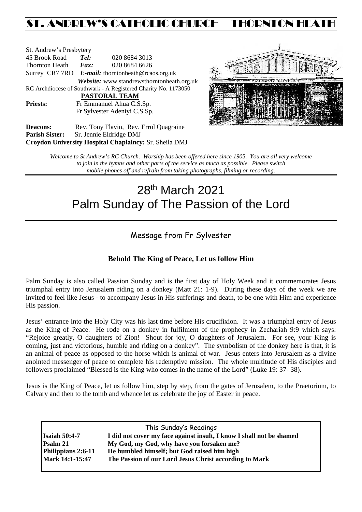## ST. ANDREW'S CATHOLIC CHURCH – THORNTON HEAT

| St. Andrew's Presbytery                                        |                                                   |  |               |                                                       |  |  |  |
|----------------------------------------------------------------|---------------------------------------------------|--|---------------|-------------------------------------------------------|--|--|--|
| 45 Brook Road                                                  | Tel:                                              |  | 020 8684 3013 |                                                       |  |  |  |
| Thornton Heath                                                 | $\boldsymbol{Fax:}$                               |  | 020 8684 6626 |                                                       |  |  |  |
|                                                                | Surrey CR7 7RD E-mail: thorntonheath@rcaos.org.uk |  |               |                                                       |  |  |  |
|                                                                |                                                   |  |               | Website: www.standrewsthorntonheath.org.uk            |  |  |  |
| RC Archdiocese of Southwark - A Registered Charity No. 1173050 |                                                   |  |               |                                                       |  |  |  |
| PASTORAL TEAM                                                  |                                                   |  |               |                                                       |  |  |  |
| <b>Priests:</b>                                                | Fr Emmanuel Ahua C.S.Sp.                          |  |               |                                                       |  |  |  |
| Fr Sylvester Adeniyi C.S.Sp.                                   |                                                   |  |               |                                                       |  |  |  |
| Degrape.                                                       |                                                   |  |               | $R_{\rm AV}$ Tony Flavin $R_{\rm PV}$ Frrol Quagraine |  |  |  |



Deacons: Rev. Tony Flavin, Rev. Errol Quagraine **Parish Sister:** Sr. Jennie Eldridge DMJ **Croydon University Hospital Chaplaincy:** Sr. Sheila DMJ

> *Welcome to St Andrew's RC Church. Worship has been offered here since 1905. You are all very welcome to join in the hymns and other parts of the service as much as possible. Please switch mobile phones off and refrain from taking photographs, filming or recording.*

# 28th March 2021 Palm Sunday of The Passion of the Lord

## Message from Fr Sylvester

## **Behold The King of Peace, Let us follow Him**

Palm Sunday is also called Passion Sunday and is the first day of Holy Week and it commemorates Jesus triumphal entry into Jerusalem riding on a donkey (Matt 21: 1-9). During these days of the week we are invited to feel like Jesus - to accompany Jesus in His sufferings and death, to be one with Him and experience His passion.

Jesus' entrance into the Holy City was his last time before His crucifixion. It was a triumphal entry of Jesus as the King of Peace. He rode on a donkey in fulfilment of the prophecy in Zechariah 9:9 which says: "Rejoice greatly, O daughters of Zion! Shout for joy, O daughters of Jerusalem. For see, your King is coming, just and victorious, humble and riding on a donkey". The symbolism of the donkey here is that, it is an animal of peace as opposed to the horse which is animal of war. Jesus enters into Jerusalem as a divine anointed messenger of peace to complete his redemptive mission. The whole multitude of His disciples and followers proclaimed "Blessed is the King who comes in the name of the Lord" (Luke 19: 37- 38).

Jesus is the King of Peace, let us follow him, step by step, from the gates of Jerusalem, to the Praetorium, to Calvary and then to the tomb and whence let us celebrate the joy of Easter in peace.

| This Sunday's Readings                                               |
|----------------------------------------------------------------------|
| I did not cover my face against insult, I know I shall not be shamed |
| My God, my God, why have you forsaken me?                            |
| He humbled himself; but God raised him high                          |
| The Passion of our Lord Jesus Christ according to Mark               |
|                                                                      |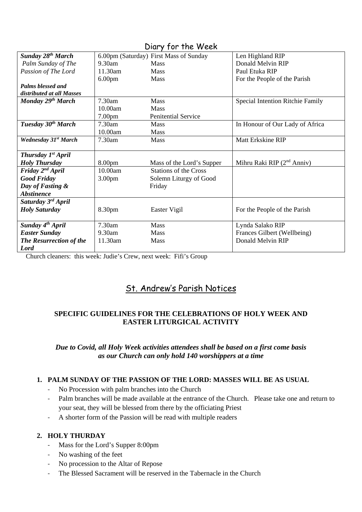| Diary for the Week                     |                    |                                        |                                  |  |  |  |
|----------------------------------------|--------------------|----------------------------------------|----------------------------------|--|--|--|
| <b>Sunday 28th March</b>               |                    | 6.00pm (Saturday) First Mass of Sunday | Len Highland RIP                 |  |  |  |
| Palm Sunday of The                     | $9.30$ am          | <b>Mass</b>                            | Donald Melvin RIP                |  |  |  |
| Passion of The Lord                    | 11.30am            | Mass                                   | Paul Etuka RIP                   |  |  |  |
|                                        | 6.00 <sub>pm</sub> | Mass                                   | For the People of the Parish     |  |  |  |
| Palms blessed and                      |                    |                                        |                                  |  |  |  |
| distributed at all Masses              |                    |                                        |                                  |  |  |  |
| Monday 29 <sup>th</sup> March          | 7.30am             | <b>Mass</b>                            | Special Intention Ritchie Family |  |  |  |
|                                        | 10.00am            | <b>Mass</b>                            |                                  |  |  |  |
|                                        | 7.00 <sub>pm</sub> | <b>Penitential Service</b>             |                                  |  |  |  |
| Tuesday 30 <sup>th</sup> March         | 7.30am             | <b>Mass</b>                            | In Honour of Our Lady of Africa  |  |  |  |
|                                        | 10.00am            | <b>Mass</b>                            |                                  |  |  |  |
| <b>Wednesday 31st March</b>            | 7.30am             | <b>Mass</b>                            | <b>Matt Erkskine RIP</b>         |  |  |  |
|                                        |                    |                                        |                                  |  |  |  |
| <b>Thursday <math>Ist</math> April</b> |                    |                                        |                                  |  |  |  |
| <b>Holy Thursday</b>                   | 8.00 <sub>pm</sub> | Mass of the Lord's Supper              | Mihru Raki RIP $(2nd Anniv)$     |  |  |  |
| Friday $2^{nd}$ April                  | 10.00am            | <b>Stations of the Cross</b>           |                                  |  |  |  |
| <b>Good Friday</b>                     | 3.00 <sub>pm</sub> | Solemn Liturgy of Good                 |                                  |  |  |  |
| Day of Fasting &                       |                    | Friday                                 |                                  |  |  |  |
| <b>Abstinence</b>                      |                    |                                        |                                  |  |  |  |
| Saturday 3 <sup>rd</sup> April         |                    |                                        |                                  |  |  |  |
| <b>Holy Saturday</b>                   | 8.30pm             | Easter Vigil                           | For the People of the Parish     |  |  |  |
|                                        |                    |                                        |                                  |  |  |  |
| Sunday 4 <sup>th</sup> April           | 7.30am             | <b>Mass</b>                            | Lynda Salako RIP                 |  |  |  |
| <b>Easter Sunday</b>                   | $9.30$ am          | <b>Mass</b>                            | Frances Gilbert (Wellbeing)      |  |  |  |
| The Resurrection of the                | 11.30am            | Mass                                   | Donald Melvin RIP                |  |  |  |
| Lord                                   |                    |                                        |                                  |  |  |  |

Church cleaners: this week: Judie's Crew, next week: Fifi's Group

## St. Andrew's Parish Notices

## **SPECIFIC GUIDELINES FOR THE CELEBRATIONS OF HOLY WEEK AND EASTER LITURGICAL ACTIVITY**

#### *Due to Covid, all Holy Week activities attendees shall be based on a first come basis as our Church can only hold 140 worshippers at a time*

#### **1. PALM SUNDAY OF THE PASSION OF THE LORD: MASSES WILL BE AS USUAL**

- No Procession with palm branches into the Church
- Palm branches will be made available at the entrance of the Church. Please take one and return to your seat, they will be blessed from there by the officiating Priest
- A shorter form of the Passion will be read with multiple readers

#### **2. HOLY THURDAY**

- Mass for the Lord's Supper 8:00pm
- No washing of the feet
- No procession to the Altar of Repose
- The Blessed Sacrament will be reserved in the Tabernacle in the Church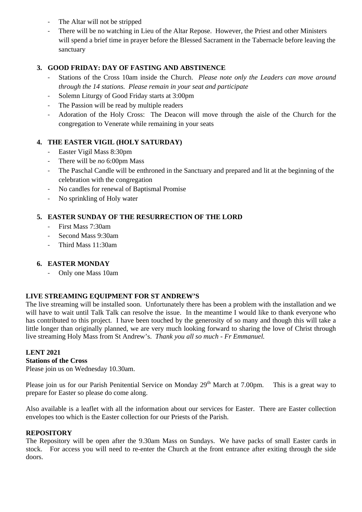- The Altar will not be stripped
- There will be no watching in Lieu of the Altar Repose. However, the Priest and other Ministers will spend a brief time in prayer before the Blessed Sacrament in the Tabernacle before leaving the sanctuary

## **3. GOOD FRIDAY: DAY OF FASTING AND ABSTINENCE**

- Stations of the Cross 10am inside the Church. *Please note only the Leaders can move around through the 14 stations. Please remain in your seat and participate*
- Solemn Liturgy of Good Friday starts at 3:00pm
- The Passion will be read by multiple readers
- Adoration of the Holy Cross: The Deacon will move through the aisle of the Church for the congregation to Venerate while remaining in your seats

## **4. THE EASTER VIGIL (HOLY SATURDAY)**

- Easter Vigil Mass 8:30pm
- There will be *no* 6:00pm Mass
- The Paschal Candle will be enthroned in the Sanctuary and prepared and lit at the beginning of the celebration with the congregation
- No candles for renewal of Baptismal Promise
- No sprinkling of Holy water

## **5. EASTER SUNDAY OF THE RESURRECTION OF THE LORD**

- First Mass 7:30am
- Second Mass 9:30am
- Third Mass 11:30am

## **6. EASTER MONDAY**

- Only one Mass 10am

#### **LIVE STREAMING EQUIPMENT FOR ST ANDREW'S**

The live streaming will be installed soon. Unfortunately there has been a problem with the installation and we will have to wait until Talk Talk can resolve the issue. In the meantime I would like to thank everyone who has contributed to this project. I have been touched by the generosity of so many and though this will take a little longer than originally planned, we are very much looking forward to sharing the love of Christ through live streaming Holy Mass from St Andrew's. *Thank you all so much - Fr Emmanuel.*

## **LENT 2021**

## **Stations of the Cross**

Please join us on Wednesday 10.30am.

Please join us for our Parish Penitential Service on Monday 29<sup>th</sup> March at 7.00pm. This is a great way to prepare for Easter so please do come along.

Also available is a leaflet with all the information about our services for Easter. There are Easter collection envelopes too which is the Easter collection for our Priests of the Parish.

#### **REPOSITORY**

The Repository will be open after the 9.30am Mass on Sundays. We have packs of small Easter cards in stock.For access you will need to re-enter the Church at the front entrance after exiting through the side doors.